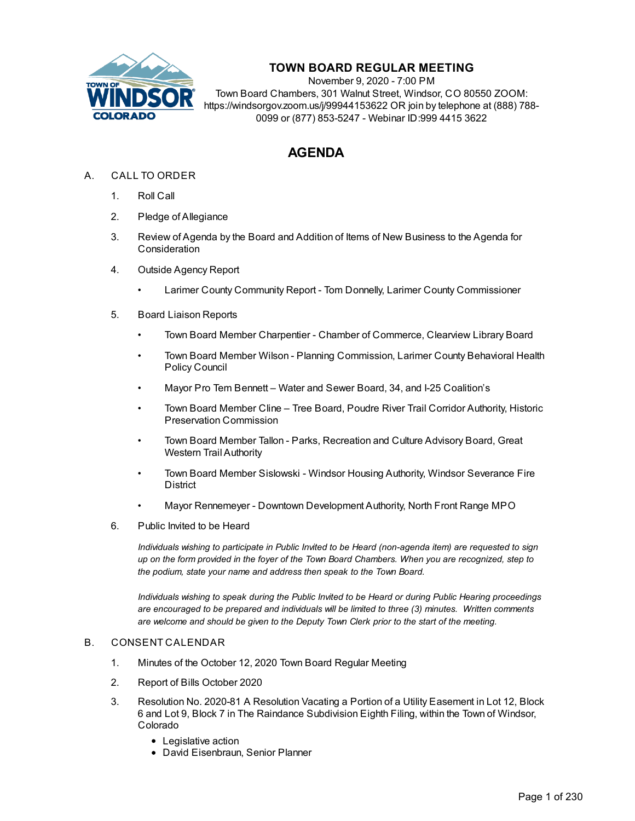

## **TOWN BOARD REGULAR MEETING**

November 9, 2020 - 7:00 PM Town Board Chambers, 301 Walnut Street, Windsor, CO 80550 ZOOM: https://windsorgov.zoom.us/j/99944153622 OR join by telephone at (888) 788- 0099 or (877) 853-5247 - Webinar ID:999 4415 3622

## **AGENDA**

- A. CALL TO ORDER
	- 1. Roll Call
	- 2. Pledge of Allegiance
	- 3. Review of Agenda by the Board and Addition of Items of New Business to the Agenda for **Consideration**
	- 4. Outside Agency Report
		- Larimer County Community Report Tom Donnelly, Larimer County Commissioner
	- 5. Board Liaison Reports
		- Town Board Member Charpentier Chamber of Commerce, Clearview Library Board
		- Town Board Member Wilson Planning Commission, Larimer County Behavioral Health Policy Council
		- Mayor Pro Tem Bennett Water and Sewer Board, 34, and I-25 Coalition's
		- Town Board Member Cline Tree Board, Poudre River Trail Corridor Authority, Historic Preservation Commission
		- Town Board Member Tallon Parks, Recreation and Culture Advisory Board, Great Western Trail Authority
		- Town Board Member Sislowski Windsor Housing Authority, Windsor Severance Fire **District**
		- Mayor Rennemeyer Downtown Development Authority, North Front Range MPO
	- 6. Public Invited to be Heard

*Individuals wishing to participate in Public Invited to be Heard (non-agenda item) are requested to sign* up on the form provided in the foyer of the Town Board Chambers. When you are recognized, step to *the podium, state your name and address then speak to the Town Board.*

*Individuals wishing to speak during the Public Invited to be Heard or during Public Hearing proceedings are encouraged to be prepared and individuals will be limited to three (3) minutes. Written comments are welcome and should be given to the Deputy Town Clerk prior to the start of the meeting.*

## B. CONSENT CALENDAR

- 1. Minutes of the October 12, 2020 Town Board Regular Meeting
- 2. Report of Bills October 2020
- 3. Resolution No. 2020-81 A Resolution Vacating a Portion of a Utility Easement in Lot 12, Block 6 and Lot 9, Block 7 in The Raindance Subdivision Eighth Filing, within the Town of Windsor, Colorado
	- Legislative action
	- David Eisenbraun, Senior Planner